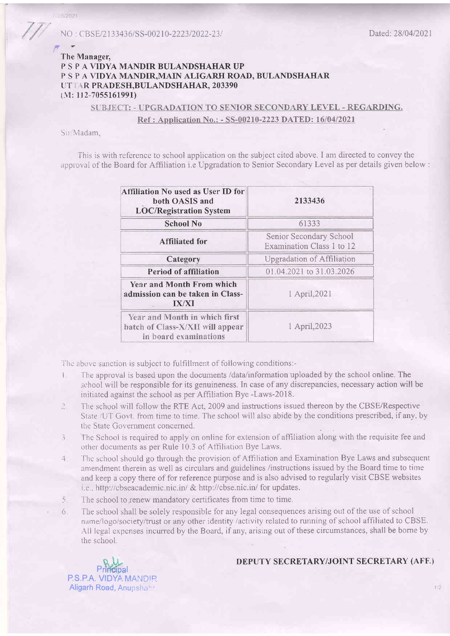### The Manager, P S P A VIDYA MANDIR BULANDSHAHAR UP P S P A VIDYA MANDIR, MAIN ALIGARH ROAD, BULANDSHAHAR UTTAR PRADESH, BULANDSHAHAR, 203390 (M: 1I2-7055161991)

## SUBJECT: - UPGRADATION TO SENIOR SECONDARY LEVEL - REGARDING. Ref : Application No.: - SS-00210-2223 DATED: 16/04/2021

Sir/Madam,

,

28/2021

This is with reference to school application on the subject cited above. I am directed to convey the approval of the Board for Affiliation i.e Upgradation to Senior Secondary Level as per details given below :

| <b>Affiliation No used as User ID for</b><br>both OASIS and<br><b>LOC/Registration System</b> | 2133436                                              |  |
|-----------------------------------------------------------------------------------------------|------------------------------------------------------|--|
| <b>School No</b>                                                                              | 61333                                                |  |
| <b>Affiliated for</b>                                                                         | Senior Secondary School<br>Examination Class 1 to 12 |  |
| Category                                                                                      | Upgradation of Affiliation                           |  |
| Period of affiliation                                                                         | 01.04.2021 to 31.03.2026                             |  |
| Year and Month From which<br>admission can be taken in Class-<br><b>IX/XI</b>                 | 1 April, 2021                                        |  |
| Year and Month in which first<br>batch of Class-X/XII will appear<br>in board examinations    | 1 April, 2023                                        |  |

The above sanction is subject to fulfillment of following conditions:-

- I. The approval is based upon the documents /data/information uploaded by the school online. The school will be responsible for its genuineness. In case of any discrepancies, necessary action will be initiated against the school as per Affiliation Bye -Laws-2O18.
- 2 The school will follow the RTE Act, 2009 and instructions issued thereon by the CBSE/Respective State /UT Govt. from time to time. The school will also abide by the conditions prescribed, if any, by the State Government concerned.
- 3 The School is required to apply on online for extension of affiliation along with the requisite fee and orher documents as per Rule 10.3 of Afhliation Bye Laws.
- 4 The school should go through the provision of Affiliation and Examination Bye Laws and subsequent amendment therein as well as circulars and guidelines /instructions issued by the Board time to time and keep a copy there of for reference purpose and is also advised to regularly visit CBSE websites i.e., http://cbseacademic.nic.in/ & http://cbse.nic.in/ for updates.
- 5. The school to renew mandatory certificates from time to time.
- 6 The school shall be solely responsible for any legal consequences arising out of the use of school name/logo/society/trust or any other identity /activity related to running of school affiliated to CBSE. All legal expenses incurredby the Board, if any, arising out of these circumstances, shall be bome by the school.

Principal P.S.P.A. VIDYA MANDIR Aligarh Road, Anupshahr

### DEPUTY SECRETARY/JOINT SECRETARY (AFF.)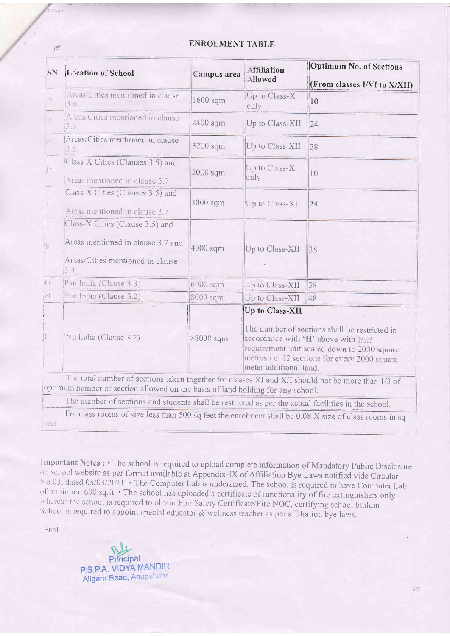### **ENROLMENT TABLE**

| SN                                                  | <b>Location of School</b>                                                                                                                                                           | Campus area | <b>Affiliation</b><br>Allowed                                                                                                                                                                                                     | Optimum No. of Sections      |  |
|-----------------------------------------------------|-------------------------------------------------------------------------------------------------------------------------------------------------------------------------------------|-------------|-----------------------------------------------------------------------------------------------------------------------------------------------------------------------------------------------------------------------------------|------------------------------|--|
|                                                     |                                                                                                                                                                                     |             |                                                                                                                                                                                                                                   | (From classes I/VI to X/XII) |  |
| $ \mathcal{A} $                                     | Areas/Cities mentioned in clause<br>3.6                                                                                                                                             | 1600 sqm    | Up to Class-X<br>only                                                                                                                                                                                                             | $\parallel$ 10               |  |
| B                                                   | Areas/Cities mentioned in clause<br>3.6                                                                                                                                             | 2400 sqm    | Up to Class-XII                                                                                                                                                                                                                   | 24                           |  |
|                                                     | Areas/Cities mentioned in clause<br>3.6                                                                                                                                             | 3200 sqm    | Up to Class-XII                                                                                                                                                                                                                   | 28                           |  |
| $\left\vert \left\vert \right\rangle \right\rangle$ | Class-X Cities (Clauses 3.5) and<br>Areas mentioned in clause 3.7                                                                                                                   | 2000 sqm    | Up to Class-X<br>only                                                                                                                                                                                                             | 10                           |  |
| 旧                                                   | Class-X Cities (Clauses 3.5) and<br>Areas mentioned in clause 3.7                                                                                                                   | 3000 sqm    | Up to Class-XII                                                                                                                                                                                                                   | 24                           |  |
|                                                     | Class-X Cities (Clause 3.5) and<br>Areas mentioned in clause 3.7 and<br>Areas/Cities mentioned in clause<br>3.4                                                                     | 4000 sqm    | Up to Class-XII                                                                                                                                                                                                                   | 28                           |  |
| G                                                   | Pan India (Clause 3.3)                                                                                                                                                              | 6000 sqm    | Up to Class-XII                                                                                                                                                                                                                   | 38                           |  |
| H                                                   | Pan India (Clause 3.2)                                                                                                                                                              | 8000 sqm    | Up to Class-XII                                                                                                                                                                                                                   | 48                           |  |
| $\prod$                                             | Pan India (Clause 3.2)                                                                                                                                                              | $>8000$ sqm | Up to Class-XII<br>The number of sections shall be restricted in<br>accordance with 'H' above with land<br>requirement unit scaled down to 2000 square<br>meters i.e. 12 sections for every 2000 square<br>meter additional land. |                              |  |
|                                                     | The total number of sections taken together for classes XI and XII should not be more than 1/3 of<br>optimum number of section allowed on the basis of land holding for any school. |             |                                                                                                                                                                                                                                   |                              |  |
|                                                     | The number of sections and students shall be restricted as per the actual facilities in the school.                                                                                 |             |                                                                                                                                                                                                                                   |                              |  |
| feet                                                | For class rooms of size less than 500 sq feet the enrolment shall be 0.08 X size of class rooms in sq                                                                               |             |                                                                                                                                                                                                                                   |                              |  |

Important Notes : • The school is required to upload complete information of Mandatory Public Disclosure on school website as per format available at Appendix-IX of Affiliation Bye Laws notified vide Circular No.03, dated 05/03/2021. • The Computer Lab is undersized. The school is required to have Computer Lab of minimum 600 sq.ft. • The school has uploaded a certificate of functionality of fire extinguishers only whereas the school is required to obtain Fire Safety Certificate/Fire NOC, certifying school buildin School is required to appoint special educator & wellness teacher as per affiliation bye laws.

Print

 $2112$ 

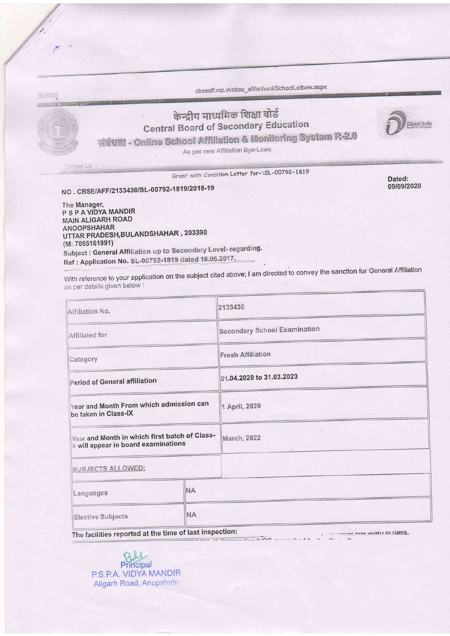cbseaff.nic.in/cbse\_aff/school/SchoolLettviw.aspx

# केन्द्रीय माध्यमिक शिक्षा बोर्ड **Central Board of Secondary Education**

संबंधता - Online School Affiliation & Monitoring System R-2.0

As per new Affiliation Bye-Laws

Dated: 09/09/2020

Grant with Condition Letter for-:SL-00792-1819

NO. CBSE/AFF/2133436/SL-00792-1819/2018-19

/9/2020

Contact Us

The Manager, P S P A VIDYA MANDIR **MAIN ALIGARH ROAD ANOOPSHAHAR** UTTAR PRADESH, BULANDSHAHAR, 203390 (M: 7055161991) Subject : General Affiliation up to Secondary Level- regarding. Ref : Application No. SL-00792-1819 dated 16.05.2017.

With reference to your application on the subject cited above; I am directed to convey the sanction for General Affiliation as per details given below :

| Affiliation No.                                                                      |           | 2133436                             |  |  |
|--------------------------------------------------------------------------------------|-----------|-------------------------------------|--|--|
| Affiliated for                                                                       |           | <b>Secondary School Examination</b> |  |  |
| Category                                                                             |           | <b>Fresh Affiliation</b>            |  |  |
| <b>Period of General affiliation</b>                                                 |           | 01.04.2020 to 31.03.2023            |  |  |
| Year and Month From which admission can<br>be taken in Class-IX                      |           | 1 April, 2020                       |  |  |
| Year and Month in which first batch of Class-<br>X will appear in board examinations |           | March, 2022<br>-47                  |  |  |
| <b>SUBJECTS ALLOWED:</b>                                                             |           |                                     |  |  |
| Languages                                                                            | <b>NA</b> |                                     |  |  |
| <b>Elective Subjects</b>                                                             | <b>NA</b> |                                     |  |  |
| The facilities reported at the time of last inspection:                              |           |                                     |  |  |

The facilities reported at the time of last inspection:  $\overline{B}$